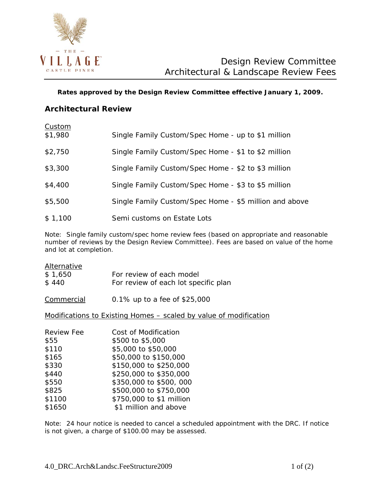

**Rates approved by the Design Review Committee effective January 1, 2009.**

# **Architectural Review**

| Custom<br>\$1,980 | Single Family Custom/Spec Home - up to \$1 million     |
|-------------------|--------------------------------------------------------|
| \$2,750           | Single Family Custom/Spec Home - \$1 to \$2 million    |
| \$3,300           | Single Family Custom/Spec Home - \$2 to \$3 million    |
| \$4,400           | Single Family Custom/Spec Home - \$3 to \$5 million    |
| \$5,500           | Single Family Custom/Spec Home - \$5 million and above |
| \$1,100           | Semi customs on Estate Lots                            |

*Note: Single family custom/spec home review fees (based on appropriate and reasonable number of reviews by the Design Review Committee). Fees are based on value of the home and lot at completion.*

| Alternative |                                      |
|-------------|--------------------------------------|
| \$1,650     | For review of each model             |
| \$440       | For review of each lot specific plan |
|             |                                      |

Commercial 0.1% up to a fee of \$25,000

Modifications to Existing Homes – scaled by value of modification

| Cost of Modification     |
|--------------------------|
| \$500 to \$5,000         |
| \$5,000 to \$50,000      |
| \$50,000 to \$150,000    |
| \$150,000 to \$250,000   |
| \$250,000 to \$350,000   |
| \$350,000 to \$500,000   |
| \$500,000 to \$750,000   |
| \$750,000 to \$1 million |
| \$1 million and above    |
|                          |

*Note: 24 hour notice is needed to cancel a scheduled appointment with the DRC. If notice is not given, a charge of \$100.00 may be assessed.*